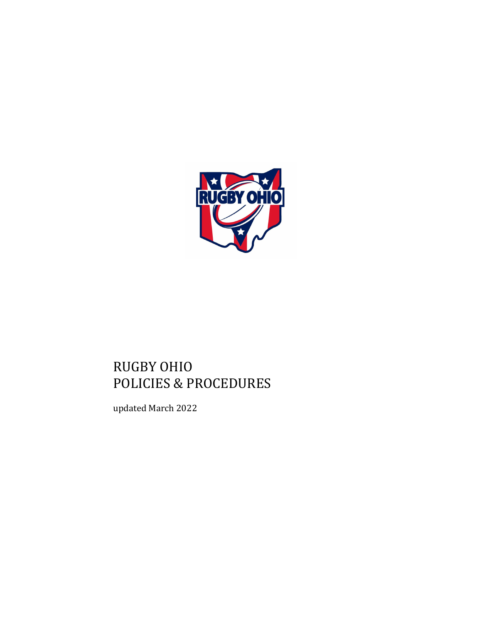

# RUGBY OHIO POLICIES & PROCEDURES

updated March 2022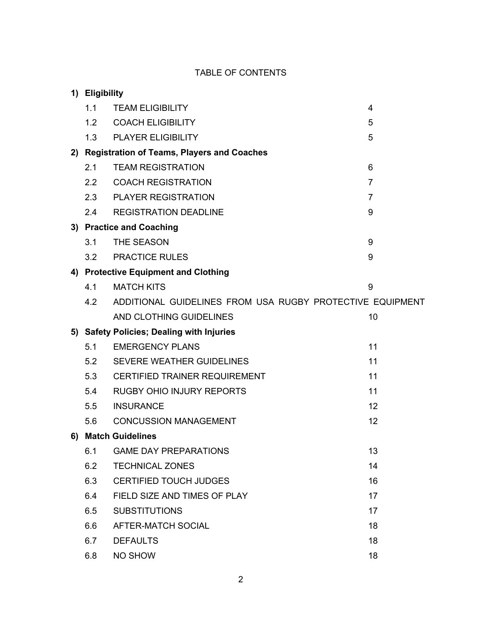# TABLE OF CONTENTS

| 1) Eligibility |                                                           |                |
|----------------|-----------------------------------------------------------|----------------|
| 1.1            | <b>TEAM ELIGIBILITY</b>                                   | 4              |
|                | 1.2 COACH ELIGIBILITY                                     | 5              |
|                | 1.3 PLAYER ELIGIBILITY                                    | 5              |
|                | 2) Registration of Teams, Players and Coaches             |                |
| 2.1            | <b>TEAM REGISTRATION</b>                                  | 6              |
|                | 2.2 COACH REGISTRATION                                    | $\overline{7}$ |
|                | 2.3 PLAYER REGISTRATION                                   | 7              |
| 2.4            | <b>REGISTRATION DEADLINE</b>                              | 9              |
|                | 3) Practice and Coaching                                  |                |
| 3.1            | THE SEASON                                                | 9              |
| 3.2            | <b>PRACTICE RULES</b>                                     | 9              |
|                | 4) Protective Equipment and Clothing                      |                |
| 4.1            | <b>MATCH KITS</b>                                         | 9              |
| 4.2            | ADDITIONAL GUIDELINES FROM USA RUGBY PROTECTIVE EQUIPMENT |                |
|                | AND CLOTHING GUIDELINES                                   | 10             |
|                |                                                           |                |
|                | 5) Safety Policies; Dealing with Injuries                 |                |
| 5.1            | <b>EMERGENCY PLANS</b>                                    | 11             |
| 5.2            | <b>SEVERE WEATHER GUIDELINES</b>                          | 11             |
| 5.3            | <b>CERTIFIED TRAINER REQUIREMENT</b>                      | 11             |
| 5.4            | <b>RUGBY OHIO INJURY REPORTS</b>                          | 11             |
| 5.5            | <b>INSURANCE</b>                                          | 12             |
| 5.6            | <b>CONCUSSION MANAGEMENT</b>                              | 12             |
|                | 6) Match Guidelines                                       |                |
| 6.1            | <b>GAME DAY PREPARATIONS</b>                              | 13             |
| 6.2            | <b>TECHNICAL ZONES</b>                                    | 14             |
| 6.3            | <b>CERTIFIED TOUCH JUDGES</b>                             | 16             |
| 6.4            | FIELD SIZE AND TIMES OF PLAY                              | 17             |
| 6.5            | <b>SUBSTITUTIONS</b>                                      | 17             |
| 6.6            | AFTER-MATCH SOCIAL                                        | 18             |
| 6.7            | <b>DEFAULTS</b>                                           | 18             |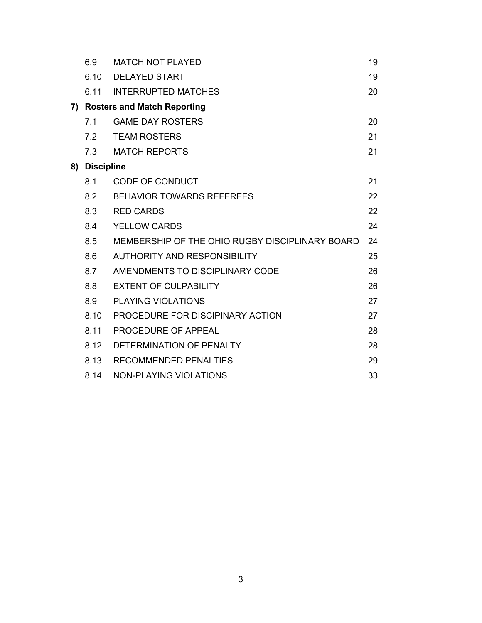| 6.9           | <b>MATCH NOT PLAYED</b>                         | 19 |
|---------------|-------------------------------------------------|----|
| 6.10          | <b>DELAYED START</b>                            | 19 |
| 6.11          | <b>INTERRUPTED MATCHES</b>                      | 20 |
|               | 7) Rosters and Match Reporting                  |    |
| 7.1           | <b>GAME DAY ROSTERS</b>                         | 20 |
| 7.2           | <b>TEAM ROSTERS</b>                             | 21 |
| 7.3           | <b>MATCH REPORTS</b>                            | 21 |
| 8) Discipline |                                                 |    |
| 8.1           | CODE OF CONDUCT                                 | 21 |
| 8.2           | <b>BEHAVIOR TOWARDS REFEREES</b>                | 22 |
| 8.3           | <b>RED CARDS</b>                                | 22 |
| 8.4           | <b>YELLOW CARDS</b>                             | 24 |
| 8.5           | MEMBERSHIP OF THE OHIO RUGBY DISCIPLINARY BOARD | 24 |
| 8.6           | <b>AUTHORITY AND RESPONSIBILITY</b>             | 25 |
| 8.7           | AMENDMENTS TO DISCIPLINARY CODE                 | 26 |
| 8.8           | <b>EXTENT OF CULPABILITY</b>                    | 26 |
| 8.9           | <b>PLAYING VIOLATIONS</b>                       | 27 |
| 8.10          | PROCEDURE FOR DISCIPINARY ACTION                | 27 |
| 8.11          | PROCEDURE OF APPEAL                             | 28 |
| 8.12          | DETERMINATION OF PENALTY                        | 28 |
| 8.13          | <b>RECOMMENDED PENALTIES</b>                    | 29 |
| 8.14          | NON-PLAYING VIOLATIONS                          | 33 |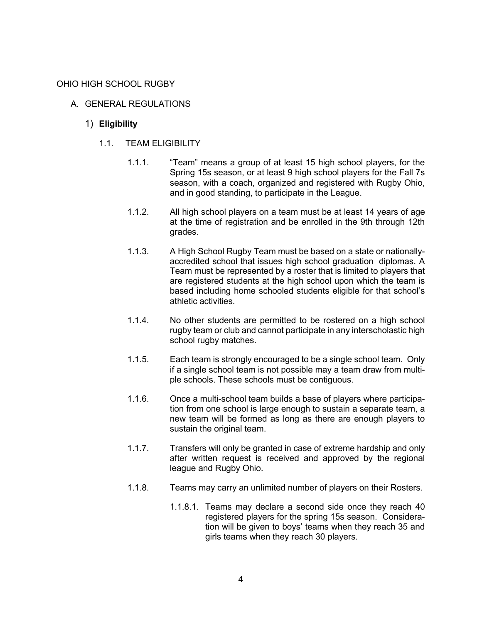#### OHIO HIGH SCHOOL RUGBY

- A. GENERAL REGULATIONS
	- 1) **Eligibility**
		- 1.1. TEAM ELIGIBILITY
			- 1.1.1. "Team" means a group of at least 15 high school players, for the Spring 15s season, or at least 9 high school players for the Fall 7s season, with a coach, organized and registered with Rugby Ohio, and in good standing, to participate in the League.
			- 1.1.2. All high school players on a team must be at least 14 years of age at the time of registration and be enrolled in the 9th through 12th grades.
			- 1.1.3. A High School Rugby Team must be based on a state or nationallyaccredited school that issues high school graduation diplomas. A Team must be represented by a roster that is limited to players that are registered students at the high school upon which the team is based including home schooled students eligible for that school's athletic activities.
			- 1.1.4. No other students are permitted to be rostered on a high school rugby team or club and cannot participate in any interscholastic high school rugby matches.
			- 1.1.5. Each team is strongly encouraged to be a single school team. Only if a single school team is not possible may a team draw from multiple schools. These schools must be contiguous.
			- 1.1.6. Once a multi-school team builds a base of players where participation from one school is large enough to sustain a separate team, a new team will be formed as long as there are enough players to sustain the original team.
			- 1.1.7. Transfers will only be granted in case of extreme hardship and only after written request is received and approved by the regional league and Rugby Ohio.
			- 1.1.8. Teams may carry an unlimited number of players on their Rosters.
				- 1.1.8.1. Teams may declare a second side once they reach 40 registered players for the spring 15s season. Consideration will be given to boys' teams when they reach 35 and girls teams when they reach 30 players.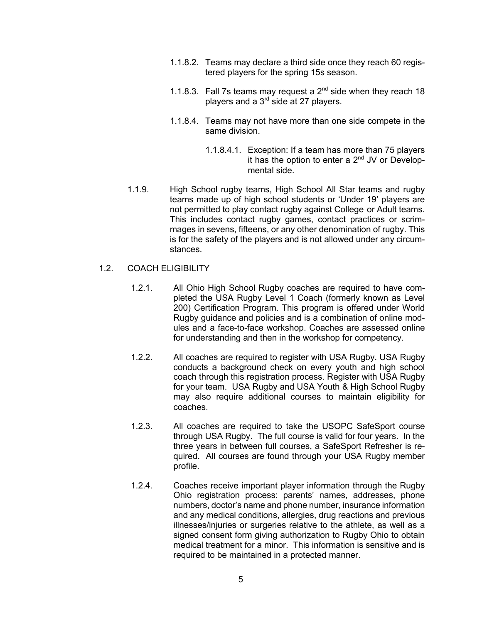- 1.1.8.2. Teams may declare a third side once they reach 60 registered players for the spring 15s season.
- 1.1.8.3. Fall 7s teams may request a  $2<sup>nd</sup>$  side when they reach 18 players and a 3<sup>rd</sup> side at 27 players.
- 1.1.8.4. Teams may not have more than one side compete in the same division.
	- 1.1.8.4.1. Exception: If a team has more than 75 players it has the option to enter a  $2^{nd}$  JV or Developmental side.
- 1.1.9. High School rugby teams, High School All Star teams and rugby teams made up of high school students or 'Under 19' players are not permitted to play contact rugby against College or Adult teams. This includes contact rugby games, contact practices or scrimmages in sevens, fifteens, or any other denomination of rugby. This is for the safety of the players and is not allowed under any circumstances.
- 1.2. COACH ELIGIBILITY
	- 1.2.1. All Ohio High School Rugby coaches are required to have completed the USA Rugby Level 1 Coach (formerly known as Level 200) Certification Program. This program is offered under World Rugby guidance and policies and is a combination of online modules and a face-to-face workshop. Coaches are assessed online for understanding and then in the workshop for competency.
	- 1.2.2. All coaches are required to register with USA Rugby. USA Rugby conducts a background check on every youth and high school coach through this registration process. Register with USA Rugby for your team. USA Rugby and USA Youth & High School Rugby may also require additional courses to maintain eligibility for coaches.
	- 1.2.3. All coaches are required to take the USOPC SafeSport course through USA Rugby. The full course is valid for four years. In the three years in between full courses, a SafeSport Refresher is required. All courses are found through your USA Rugby member profile.
	- 1.2.4. Coaches receive important player information through the Rugby Ohio registration process: parents' names, addresses, phone numbers, doctor's name and phone number, insurance information and any medical conditions, allergies, drug reactions and previous illnesses/injuries or surgeries relative to the athlete, as well as a signed consent form giving authorization to Rugby Ohio to obtain medical treatment for a minor. This information is sensitive and is required to be maintained in a protected manner.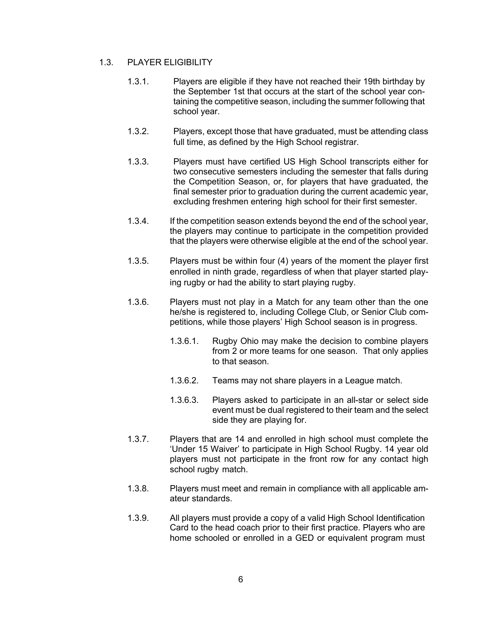# 1.3. PLAYER ELIGIBILITY

- 1.3.1. Players are eligible if they have not reached their 19th birthday by the September 1st that occurs at the start of the school year containing the competitive season, including the summer following that school year.
- 1.3.2. Players, except those that have graduated, must be attending class full time, as defined by the High School registrar.
- 1.3.3. Players must have certified US High School transcripts either for two consecutive semesters including the semester that falls during the Competition Season, or, for players that have graduated, the final semester prior to graduation during the current academic year, excluding freshmen entering high school for their first semester.
- 1.3.4. If the competition season extends beyond the end of the school year, the players may continue to participate in the competition provided that the players were otherwise eligible at the end of the school year.
- 1.3.5. Players must be within four (4) years of the moment the player first enrolled in ninth grade, regardless of when that player started playing rugby or had the ability to start playing rugby.
- 1.3.6. Players must not play in a Match for any team other than the one he/she is registered to, including College Club, or Senior Club competitions, while those players' High School season is in progress.
	- 1.3.6.1. Rugby Ohio may make the decision to combine players from 2 or more teams for one season. That only applies to that season.
	- 1.3.6.2. Teams may not share players in a League match.
	- 1.3.6.3. Players asked to participate in an all-star or select side event must be dual registered to their team and the select side they are playing for.
- 1.3.7. Players that are 14 and enrolled in high school must complete the 'Under 15 Waiver' to participate in High School Rugby. 14 year old players must not participate in the front row for any contact high school rugby match.
- 1.3.8. Players must meet and remain in compliance with all applicable amateur standards.
- 1.3.9. All players must provide a copy of a valid High School Identification Card to the head coach prior to their first practice. Players who are home schooled or enrolled in a GED or equivalent program must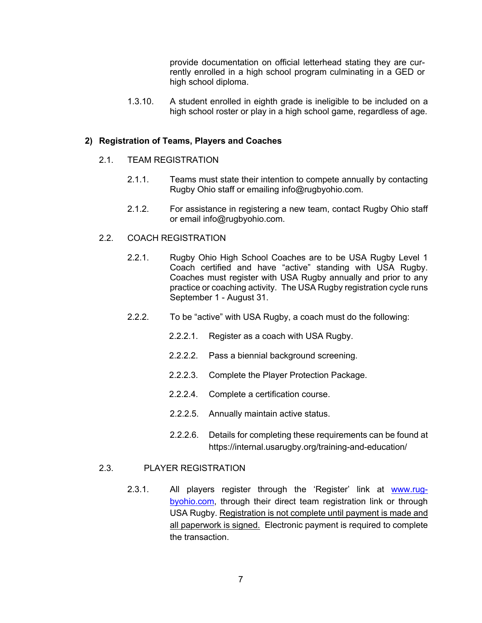provide documentation on official letterhead stating they are currently enrolled in a high school program culminating in a GED or high school diploma.

1.3.10. A student enrolled in eighth grade is ineligible to be included on a high school roster or play in a high school game, regardless of age.

#### **2) Registration of Teams, Players and Coaches**

#### 2.1. TEAM REGISTRATION

- 2.1.1. Teams must state their intention to compete annually by contacting Rugby Ohio staff or emailing info@rugbyohio.com.
- 2.1.2. For assistance in registering a new team, contact Rugby Ohio staff or email info@rugbyohio.com.

#### 2.2. COACH REGISTRATION

- 2.2.1. Rugby Ohio High School Coaches are to be USA Rugby Level 1 Coach certified and have "active" standing with USA Rugby. Coaches must register with USA Rugby annually and prior to any practice or coaching activity. The USA Rugby registration cycle runs September 1 - August 31.
- 2.2.2. To be "active" with USA Rugby, a coach must do the following:
	- 2.2.2.1. Register as a coach with USA Rugby.
	- 2.2.2.2. Pass a biennial background screening.
	- 2.2.2.3. Complete the Player Protection Package.
	- 2.2.2.4. Complete a certification course.
	- 2.2.2.5. Annually maintain active status.
	- 2.2.2.6. Details for completing these requirements can be found at https://internal.usarugby.org/training-and-education/

#### 2.3. PLAYER REGISTRATION

2.3.1. All players register through the 'Register' link at www.rugbyohio.com, through their direct team registration link or through USA Rugby. Registration is not complete until payment is made and all paperwork is signed. Electronic payment is required to complete the transaction.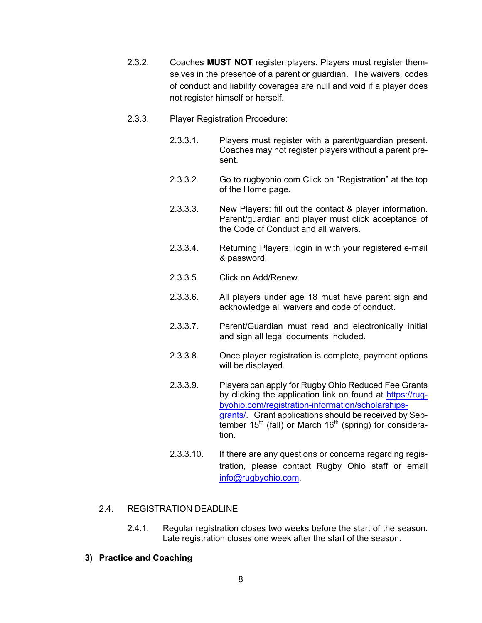- 2.3.2. Coaches **MUST NOT** register players. Players must register themselves in the presence of a parent or guardian. The waivers, codes of conduct and liability coverages are null and void if a player does not register himself or herself.
- 2.3.3. Player Registration Procedure:
	- 2.3.3.1. Players must register with a parent/guardian present. Coaches may not register players without a parent present.
	- 2.3.3.2. Go to rugbyohio.com Click on "Registration" at the top of the Home page.
	- 2.3.3.3. New Players: fill out the contact & player information. Parent/guardian and player must click acceptance of the Code of Conduct and all waivers.
	- 2.3.3.4. Returning Players: login in with your registered e-mail & password.
	- 2.3.3.5. Click on Add/Renew.
	- 2.3.3.6. All players under age 18 must have parent sign and acknowledge all waivers and code of conduct.
	- 2.3.3.7. Parent/Guardian must read and electronically initial and sign all legal documents included.
	- 2.3.3.8. Once player registration is complete, payment options will be displayed.
	- 2.3.3.9. Players can apply for Rugby Ohio Reduced Fee Grants by clicking the application link on found at https://rugbyohio.com/registration-information/scholarshipsgrants/. Grant applications should be received by Sep $t$ ember 15<sup>th</sup> (fall) or March 16<sup>th</sup> (spring) for consideration.
	- 2.3.3.10. If there are any questions or concerns regarding registration, please contact Rugby Ohio staff or email info@rugbyohio.com.

# 2.4. REGISTRATION DEADLINE

2.4.1. Regular registration closes two weeks before the start of the season. Late registration closes one week after the start of the season.

# **3) Practice and Coaching**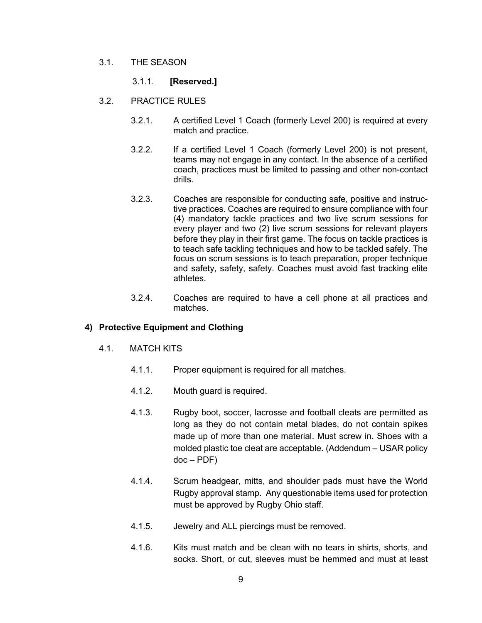3.1. THE SEASON

# 3.1.1. **[Reserved.]**

- 3.2. PRACTICE RULES
	- 3.2.1. A certified Level 1 Coach (formerly Level 200) is required at every match and practice.
	- 3.2.2. If a certified Level 1 Coach (formerly Level 200) is not present, teams may not engage in any contact. In the absence of a certified coach, practices must be limited to passing and other non-contact drills.
	- 3.2.3. Coaches are responsible for conducting safe, positive and instructive practices. Coaches are required to ensure compliance with four (4) mandatory tackle practices and two live scrum sessions for every player and two (2) live scrum sessions for relevant players before they play in their first game. The focus on tackle practices is to teach safe tackling techniques and how to be tackled safely. The focus on scrum sessions is to teach preparation, proper technique and safety, safety, safety. Coaches must avoid fast tracking elite athletes.
	- 3.2.4. Coaches are required to have a cell phone at all practices and matches.

# **4) Protective Equipment and Clothing**

- 4.1. MATCH KITS
	- 4.1.1. Proper equipment is required for all matches.
	- 4.1.2. Mouth guard is required.
	- 4.1.3. Rugby boot, soccer, lacrosse and football cleats are permitted as long as they do not contain metal blades, do not contain spikes made up of more than one material. Must screw in. Shoes with a molded plastic toe cleat are acceptable. (Addendum – USAR policy  $doc - PDF)$
	- 4.1.4. Scrum headgear, mitts, and shoulder pads must have the World Rugby approval stamp. Any questionable items used for protection must be approved by Rugby Ohio staff.
	- 4.1.5. Jewelry and ALL piercings must be removed.
	- 4.1.6. Kits must match and be clean with no tears in shirts, shorts, and socks. Short, or cut, sleeves must be hemmed and must at least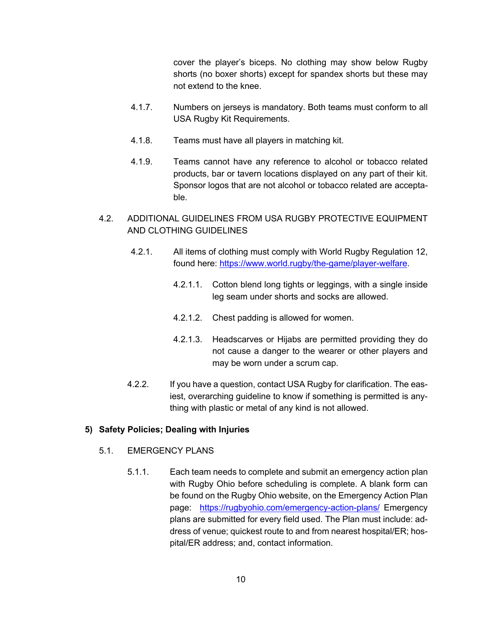cover the player's biceps. No clothing may show below Rugby shorts (no boxer shorts) except for spandex shorts but these may not extend to the knee.

- 4.1.7. Numbers on jerseys is mandatory. Both teams must conform to all USA Rugby Kit Requirements.
- 4.1.8. Teams must have all players in matching kit.
- 4.1.9. Teams cannot have any reference to alcohol or tobacco related products, bar or tavern locations displayed on any part of their kit. Sponsor logos that are not alcohol or tobacco related are acceptable.
- 4.2. ADDITIONAL GUIDELINES FROM USA RUGBY PROTECTIVE EQUIPMENT AND CLOTHING GUIDELINES
	- 4.2.1. All items of clothing must comply with World Rugby Regulation 12, found here: https://www.world.rugby/the-game/player-welfare.
		- 4.2.1.1. Cotton blend long tights or leggings, with a single inside leg seam under shorts and socks are allowed.
		- 4.2.1.2. Chest padding is allowed for women.
		- 4.2.1.3. Headscarves or Hijabs are permitted providing they do not cause a danger to the wearer or other players and may be worn under a scrum cap.
	- 4.2.2. If you have a question, contact USA Rugby for clarification. The easiest, overarching guideline to know if something is permitted is anything with plastic or metal of any kind is not allowed.

# **5) Safety Policies; Dealing with Injuries**

# 5.1. EMERGENCY PLANS

5.1.1. Each team needs to complete and submit an emergency action plan with Rugby Ohio before scheduling is complete. A blank form can be found on the Rugby Ohio website, on the Emergency Action Plan page: https://rugbyohio.com/emergency-action-plans/ Emergency plans are submitted for every field used. The Plan must include: address of venue; quickest route to and from nearest hospital/ER; hospital/ER address; and, contact information.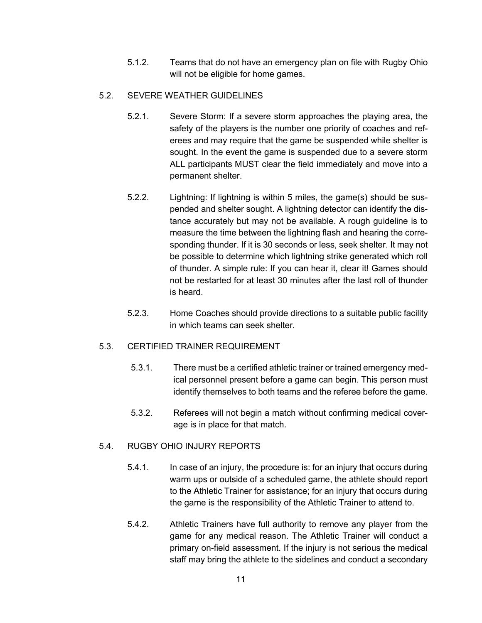5.1.2. Teams that do not have an emergency plan on file with Rugby Ohio will not be eligible for home games.

# 5.2. SEVERE WEATHER GUIDELINES

- 5.2.1. Severe Storm: If a severe storm approaches the playing area, the safety of the players is the number one priority of coaches and referees and may require that the game be suspended while shelter is sought. In the event the game is suspended due to a severe storm ALL participants MUST clear the field immediately and move into a permanent shelter.
- 5.2.2. Lightning: If lightning is within 5 miles, the game(s) should be suspended and shelter sought. A lightning detector can identify the distance accurately but may not be available. A rough guideline is to measure the time between the lightning flash and hearing the corresponding thunder. If it is 30 seconds or less, seek shelter. It may not be possible to determine which lightning strike generated which roll of thunder. A simple rule: If you can hear it, clear it! Games should not be restarted for at least 30 minutes after the last roll of thunder is heard.
- 5.2.3. Home Coaches should provide directions to a suitable public facility in which teams can seek shelter.

# 5.3. CERTIFIED TRAINER REQUIREMENT

- 5.3.1. There must be a certified athletic trainer or trained emergency medical personnel present before a game can begin. This person must identify themselves to both teams and the referee before the game.
- 5.3.2. Referees will not begin a match without confirming medical coverage is in place for that match.

# 5.4. RUGBY OHIO INJURY REPORTS

- 5.4.1. In case of an injury, the procedure is: for an injury that occurs during warm ups or outside of a scheduled game, the athlete should report to the Athletic Trainer for assistance; for an injury that occurs during the game is the responsibility of the Athletic Trainer to attend to.
- 5.4.2. Athletic Trainers have full authority to remove any player from the game for any medical reason. The Athletic Trainer will conduct a primary on-field assessment. If the injury is not serious the medical staff may bring the athlete to the sidelines and conduct a secondary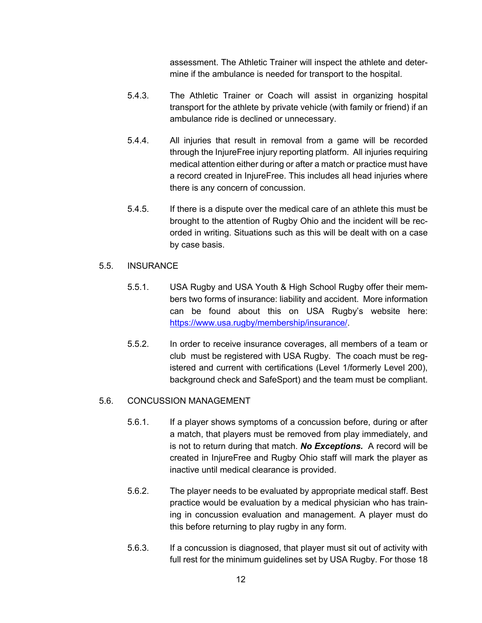assessment. The Athletic Trainer will inspect the athlete and determine if the ambulance is needed for transport to the hospital.

- 5.4.3. The Athletic Trainer or Coach will assist in organizing hospital transport for the athlete by private vehicle (with family or friend) if an ambulance ride is declined or unnecessary.
- 5.4.4. All injuries that result in removal from a game will be recorded through the InjureFree injury reporting platform. All injuries requiring medical attention either during or after a match or practice must have a record created in InjureFree. This includes all head injuries where there is any concern of concussion.
- 5.4.5. If there is a dispute over the medical care of an athlete this must be brought to the attention of Rugby Ohio and the incident will be recorded in writing. Situations such as this will be dealt with on a case by case basis.
- 5.5. INSURANCE
	- 5.5.1. USA Rugby and USA Youth & High School Rugby offer their members two forms of insurance: liability and accident. More information can be found about this on USA Rugby's website here: https://www.usa.rugby/membership/insurance/.
	- 5.5.2. In order to receive insurance coverages, all members of a team or club must be registered with USA Rugby. The coach must be registered and current with certifications (Level 1/formerly Level 200), background check and SafeSport) and the team must be compliant.

#### 5.6. CONCUSSION MANAGEMENT

- 5.6.1. If a player shows symptoms of a concussion before, during or after a match, that players must be removed from play immediately, and is not to return during that match. *No Exceptions.*A record will be created in InjureFree and Rugby Ohio staff will mark the player as inactive until medical clearance is provided.
- 5.6.2. The player needs to be evaluated by appropriate medical staff. Best practice would be evaluation by a medical physician who has training in concussion evaluation and management. A player must do this before returning to play rugby in any form.
- 5.6.3. If a concussion is diagnosed, that player must sit out of activity with full rest for the minimum guidelines set by USA Rugby. For those 18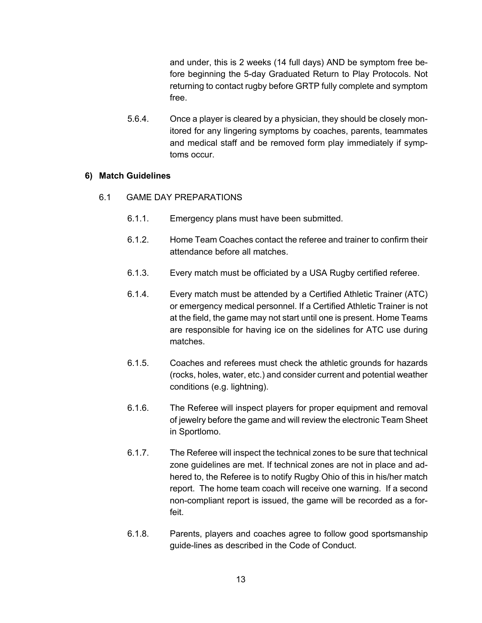and under, this is 2 weeks (14 full days) AND be symptom free before beginning the 5-day Graduated Return to Play Protocols. Not returning to contact rugby before GRTP fully complete and symptom free.

5.6.4. Once a player is cleared by a physician, they should be closely monitored for any lingering symptoms by coaches, parents, teammates and medical staff and be removed form play immediately if symptoms occur.

# **6) Match Guidelines**

- 6.1 GAME DAY PREPARATIONS
	- 6.1.1. Emergency plans must have been submitted.
	- 6.1.2. Home Team Coaches contact the referee and trainer to confirm their attendance before all matches.
	- 6.1.3. Every match must be officiated by a USA Rugby certified referee.
	- 6.1.4. Every match must be attended by a Certified Athletic Trainer (ATC) or emergency medical personnel. If a Certified Athletic Trainer is not at the field, the game may not start until one is present. Home Teams are responsible for having ice on the sidelines for ATC use during matches.
	- 6.1.5. Coaches and referees must check the athletic grounds for hazards (rocks, holes, water, etc.) and consider current and potential weather conditions (e.g. lightning).
	- 6.1.6. The Referee will inspect players for proper equipment and removal of jewelry before the game and will review the electronic Team Sheet in Sportlomo.
	- 6.1.7. The Referee will inspect the technical zones to be sure that technical zone guidelines are met. If technical zones are not in place and adhered to, the Referee is to notify Rugby Ohio of this in his/her match report. The home team coach will receive one warning. If a second non-compliant report is issued, the game will be recorded as a forfeit.
	- 6.1.8. Parents, players and coaches agree to follow good sportsmanship guide-lines as described in the Code of Conduct.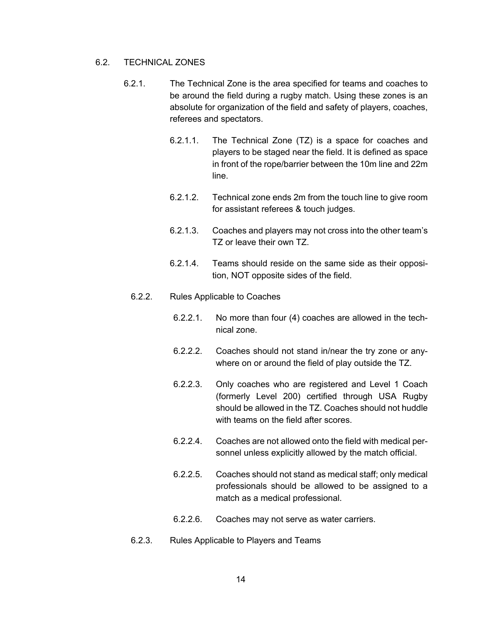# 6.2. TECHNICAL ZONES

- 6.2.1. The Technical Zone is the area specified for teams and coaches to be around the field during a rugby match. Using these zones is an absolute for organization of the field and safety of players, coaches, referees and spectators.
	- 6.2.1.1. The Technical Zone (TZ) is a space for coaches and players to be staged near the field. It is defined as space in front of the rope/barrier between the 10m line and 22m line.
	- 6.2.1.2. Technical zone ends 2m from the touch line to give room for assistant referees & touch judges.
	- 6.2.1.3. Coaches and players may not cross into the other team's TZ or leave their own TZ.
	- 6.2.1.4. Teams should reside on the same side as their opposition, NOT opposite sides of the field.

# 6.2.2. Rules Applicable to Coaches

- 6.2.2.1. No more than four (4) coaches are allowed in the technical zone.
- 6.2.2.2. Coaches should not stand in/near the try zone or anywhere on or around the field of play outside the TZ.
- 6.2.2.3. Only coaches who are registered and Level 1 Coach (formerly Level 200) certified through USA Rugby should be allowed in the TZ. Coaches should not huddle with teams on the field after scores.
- 6.2.2.4. Coaches are not allowed onto the field with medical personnel unless explicitly allowed by the match official.
- 6.2.2.5. Coaches should not stand as medical staff; only medical professionals should be allowed to be assigned to a match as a medical professional.
- 6.2.2.6. Coaches may not serve as water carriers.
- 6.2.3. Rules Applicable to Players and Teams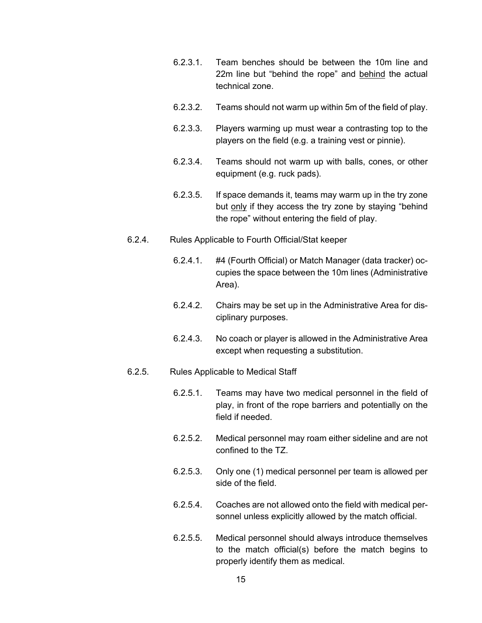- 6.2.3.1. Team benches should be between the 10m line and 22m line but "behind the rope" and behind the actual technical zone.
- 6.2.3.2. Teams should not warm up within 5m of the field of play.
- 6.2.3.3. Players warming up must wear a contrasting top to the players on the field (e.g. a training vest or pinnie).
- 6.2.3.4. Teams should not warm up with balls, cones, or other equipment (e.g. ruck pads).
- 6.2.3.5. If space demands it, teams may warm up in the try zone but only if they access the try zone by staying "behind the rope" without entering the field of play.
- 6.2.4. Rules Applicable to Fourth Official/Stat keeper
	- 6.2.4.1. #4 (Fourth Official) or Match Manager (data tracker) occupies the space between the 10m lines (Administrative Area).
	- 6.2.4.2. Chairs may be set up in the Administrative Area for disciplinary purposes.
	- 6.2.4.3. No coach or player is allowed in the Administrative Area except when requesting a substitution.

# 6.2.5. Rules Applicable to Medical Staff

- 6.2.5.1. Teams may have two medical personnel in the field of play, in front of the rope barriers and potentially on the field if needed.
- 6.2.5.2. Medical personnel may roam either sideline and are not confined to the TZ.
- 6.2.5.3. Only one (1) medical personnel per team is allowed per side of the field.
- 6.2.5.4. Coaches are not allowed onto the field with medical personnel unless explicitly allowed by the match official.
- 6.2.5.5. Medical personnel should always introduce themselves to the match official(s) before the match begins to properly identify them as medical.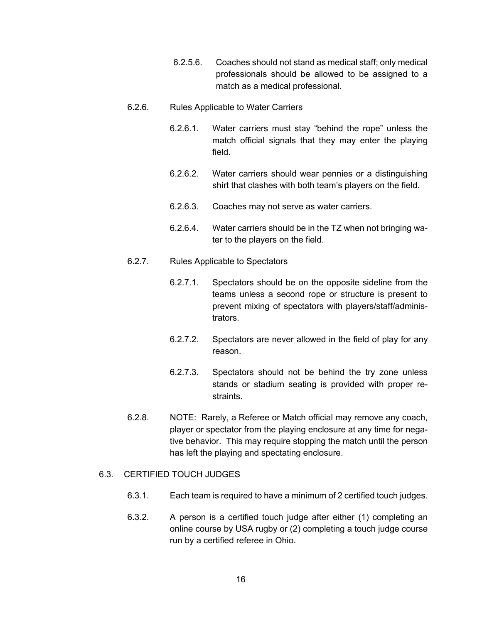6.2.5.6. Coaches should not stand as medical staff; only medical professionals should be allowed to be assigned to a match as a medical professional.

#### 6.2.6. Rules Applicable to Water Carriers

- 6.2.6.1. Water carriers must stay "behind the rope" unless the match official signals that they may enter the playing field.
- 6.2.6.2. Water carriers should wear pennies or a distinguishing shirt that clashes with both team's players on the field.
- 6.2.6.3. Coaches may not serve as water carriers.
- 6.2.6.4. Water carriers should be in the TZ when not bringing water to the players on the field.
- 6.2.7. Rules Applicable to Spectators
	- 6.2.7.1. Spectators should be on the opposite sideline from the teams unless a second rope or structure is present to prevent mixing of spectators with players/staff/administrators.
	- 6.2.7.2. Spectators are never allowed in the field of play for any reason.
	- 6.2.7.3. Spectators should not be behind the try zone unless stands or stadium seating is provided with proper restraints.
- 6.2.8. NOTE: Rarely, a Referee or Match official may remove any coach, player or spectator from the playing enclosure at any time for negative behavior. This may require stopping the match until the person has left the playing and spectating enclosure.

# 6.3. CERTIFIED TOUCH JUDGES

- 6.3.1. Each team is required to have a minimum of 2 certified touch judges.
- 6.3.2. A person is a certified touch judge after either (1) completing an online course by USA rugby or (2) completing a touch judge course run by a certified referee in Ohio.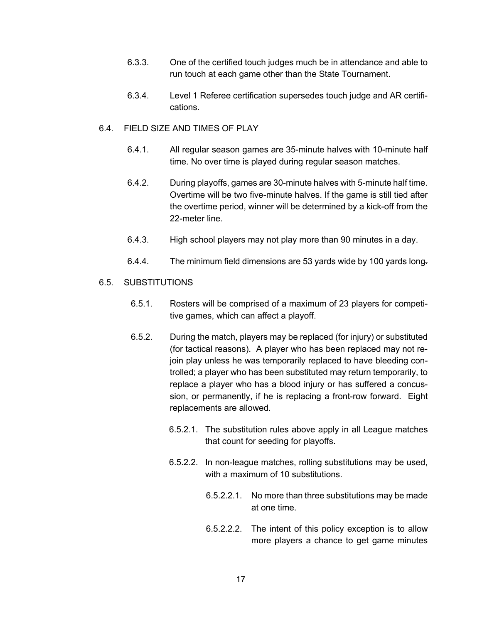- 6.3.3. One of the certified touch judges much be in attendance and able to run touch at each game other than the State Tournament.
- 6.3.4. Level 1 Referee certification supersedes touch judge and AR certifications.
- 6.4. FIELD SIZE AND TIMES OF PLAY
	- 6.4.1. All regular season games are 35-minute halves with 10-minute half time. No over time is played during regular season matches.
	- 6.4.2. During playoffs, games are 30-minute halves with 5-minute half time. Overtime will be two five-minute halves. If the game is still tied after the overtime period, winner will be determined by a kick-off from the 22-meter line.
	- 6.4.3. High school players may not play more than 90 minutes in a day.
	- 6.4.4. The minimum field dimensions are 53 yards wide by 100 yards long.

### 6.5. SUBSTITUTIONS

- 6.5.1. Rosters will be comprised of a maximum of 23 players for competitive games, which can affect a playoff.
- 6.5.2. During the match, players may be replaced (for injury) or substituted (for tactical reasons). A player who has been replaced may not rejoin play unless he was temporarily replaced to have bleeding controlled; a player who has been substituted may return temporarily, to replace a player who has a blood injury or has suffered a concussion, or permanently, if he is replacing a front-row forward. Eight replacements are allowed.
	- 6.5.2.1. The substitution rules above apply in all League matches that count for seeding for playoffs.
	- 6.5.2.2. In non-league matches, rolling substitutions may be used, with a maximum of 10 substitutions.
		- 6.5.2.2.1. No more than three substitutions may be made at one time.
		- 6.5.2.2.2. The intent of this policy exception is to allow more players a chance to get game minutes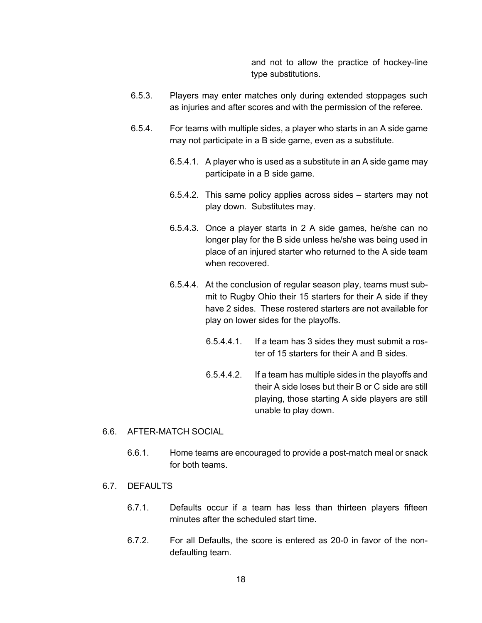and not to allow the practice of hockey-line type substitutions.

- 6.5.3. Players may enter matches only during extended stoppages such as injuries and after scores and with the permission of the referee.
- 6.5.4. For teams with multiple sides, a player who starts in an A side game may not participate in a B side game, even as a substitute.
	- 6.5.4.1. A player who is used as a substitute in an A side game may participate in a B side game.
	- 6.5.4.2. This same policy applies across sides starters may not play down. Substitutes may.
	- 6.5.4.3. Once a player starts in 2 A side games, he/she can no longer play for the B side unless he/she was being used in place of an injured starter who returned to the A side team when recovered.
	- 6.5.4.4. At the conclusion of regular season play, teams must submit to Rugby Ohio their 15 starters for their A side if they have 2 sides. These rostered starters are not available for play on lower sides for the playoffs.
		- 6.5.4.4.1. If a team has 3 sides they must submit a roster of 15 starters for their A and B sides.
		- 6.5.4.4.2. If a team has multiple sides in the playoffs and their A side loses but their B or C side are still playing, those starting A side players are still unable to play down.

#### 6.6. AFTER-MATCH SOCIAL

- 6.6.1. Home teams are encouraged to provide a post-match meal or snack for both teams.
- 6.7. DEFAULTS
	- 6.7.1. Defaults occur if a team has less than thirteen players fifteen minutes after the scheduled start time.
	- 6.7.2. For all Defaults, the score is entered as 20-0 in favor of the nondefaulting team.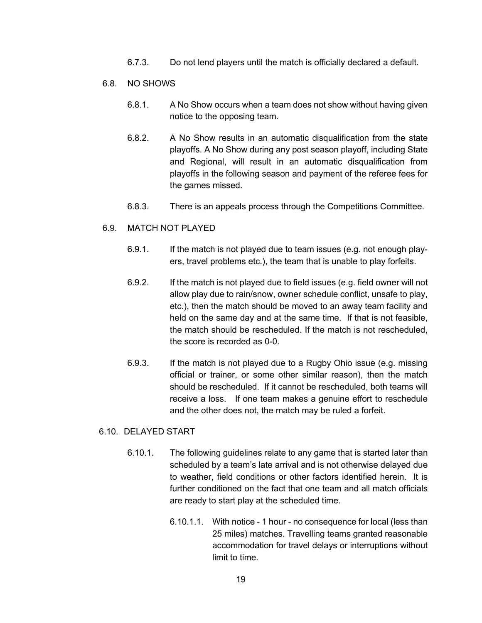- 6.7.3. Do not lend players until the match is officially declared a default.
- 6.8. NO SHOWS
	- 6.8.1. A No Show occurs when a team does not show without having given notice to the opposing team.
	- 6.8.2. A No Show results in an automatic disqualification from the state playoffs. A No Show during any post season playoff, including State and Regional, will result in an automatic disqualification from playoffs in the following season and payment of the referee fees for the games missed.
	- 6.8.3. There is an appeals process through the Competitions Committee.

### 6.9. MATCH NOT PLAYED

- 6.9.1. If the match is not played due to team issues (e.g. not enough players, travel problems etc.), the team that is unable to play forfeits.
- 6.9.2. If the match is not played due to field issues (e.g. field owner will not allow play due to rain/snow, owner schedule conflict, unsafe to play, etc.), then the match should be moved to an away team facility and held on the same day and at the same time. If that is not feasible, the match should be rescheduled. If the match is not rescheduled, the score is recorded as 0-0.
- 6.9.3. If the match is not played due to a Rugby Ohio issue (e.g. missing official or trainer, or some other similar reason), then the match should be rescheduled. If it cannot be rescheduled, both teams will receive a loss. If one team makes a genuine effort to reschedule and the other does not, the match may be ruled a forfeit.

#### 6.10. DELAYED START

- 6.10.1. The following guidelines relate to any game that is started later than scheduled by a team's late arrival and is not otherwise delayed due to weather, field conditions or other factors identified herein. It is further conditioned on the fact that one team and all match officials are ready to start play at the scheduled time.
	- 6.10.1.1. With notice 1 hour no consequence for local (less than 25 miles) matches. Travelling teams granted reasonable accommodation for travel delays or interruptions without limit to time.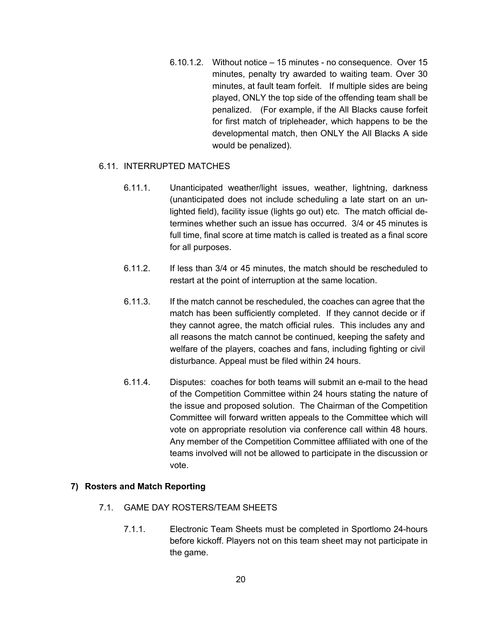6.10.1.2. Without notice – 15 minutes - no consequence. Over 15 minutes, penalty try awarded to waiting team. Over 30 minutes, at fault team forfeit. If multiple sides are being played, ONLY the top side of the offending team shall be penalized. (For example, if the All Blacks cause forfeit for first match of tripleheader, which happens to be the developmental match, then ONLY the All Blacks A side would be penalized).

# 6.11. INTERRUPTED MATCHES

- 6.11.1. Unanticipated weather/light issues, weather, lightning, darkness (unanticipated does not include scheduling a late start on an unlighted field), facility issue (lights go out) etc. The match official determines whether such an issue has occurred. 3/4 or 45 minutes is full time, final score at time match is called is treated as a final score for all purposes.
- 6.11.2. If less than 3/4 or 45 minutes, the match should be rescheduled to restart at the point of interruption at the same location.
- 6.11.3. If the match cannot be rescheduled, the coaches can agree that the match has been sufficiently completed. If they cannot decide or if they cannot agree, the match official rules. This includes any and all reasons the match cannot be continued, keeping the safety and welfare of the players, coaches and fans, including fighting or civil disturbance. Appeal must be filed within 24 hours.
- 6.11.4. Disputes: coaches for both teams will submit an e-mail to the head of the Competition Committee within 24 hours stating the nature of the issue and proposed solution. The Chairman of the Competition Committee will forward written appeals to the Committee which will vote on appropriate resolution via conference call within 48 hours. Any member of the Competition Committee affiliated with one of the teams involved will not be allowed to participate in the discussion or vote.

#### **7) Rosters and Match Reporting**

- 7.1. GAME DAY ROSTERS/TEAM SHEETS
	- 7.1.1. Electronic Team Sheets must be completed in Sportlomo 24-hours before kickoff. Players not on this team sheet may not participate in the game.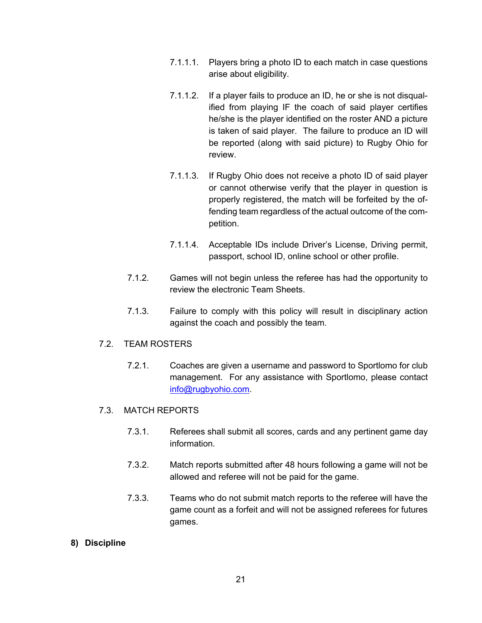- 7.1.1.1. Players bring a photo ID to each match in case questions arise about eligibility.
- 7.1.1.2. If a player fails to produce an ID, he or she is not disqualified from playing IF the coach of said player certifies he/she is the player identified on the roster AND a picture is taken of said player. The failure to produce an ID will be reported (along with said picture) to Rugby Ohio for review.
- 7.1.1.3. If Rugby Ohio does not receive a photo ID of said player or cannot otherwise verify that the player in question is properly registered, the match will be forfeited by the offending team regardless of the actual outcome of the competition.
- 7.1.1.4. Acceptable IDs include Driver's License, Driving permit, passport, school ID, online school or other profile.
- 7.1.2. Games will not begin unless the referee has had the opportunity to review the electronic Team Sheets.
- 7.1.3. Failure to comply with this policy will result in disciplinary action against the coach and possibly the team.

#### 7.2. TEAM ROSTERS

7.2.1. Coaches are given a username and password to Sportlomo for club management. For any assistance with Sportlomo, please contact info@rugbyohio.com.

# 7.3. MATCH REPORTS

- 7.3.1. Referees shall submit all scores, cards and any pertinent game day information.
- 7.3.2. Match reports submitted after 48 hours following a game will not be allowed and referee will not be paid for the game.
- 7.3.3. Teams who do not submit match reports to the referee will have the game count as a forfeit and will not be assigned referees for futures games.

# **8) Discipline**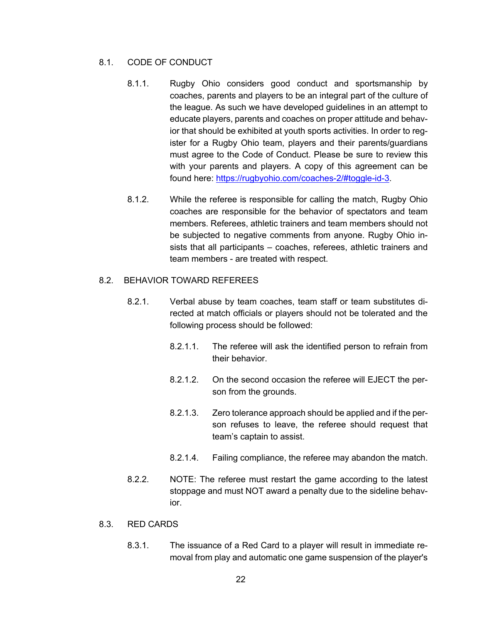# 8.1. CODE OF CONDUCT

- 8.1.1. Rugby Ohio considers good conduct and sportsmanship by coaches, parents and players to be an integral part of the culture of the league. As such we have developed guidelines in an attempt to educate players, parents and coaches on proper attitude and behavior that should be exhibited at youth sports activities. In order to register for a Rugby Ohio team, players and their parents/guardians must agree to the Code of Conduct. Please be sure to review this with your parents and players. A copy of this agreement can be found here: https://rugbyohio.com/coaches-2/#toggle-id-3.
- 8.1.2. While the referee is responsible for calling the match, Rugby Ohio coaches are responsible for the behavior of spectators and team members. Referees, athletic trainers and team members should not be subjected to negative comments from anyone. Rugby Ohio insists that all participants – coaches, referees, athletic trainers and team members - are treated with respect.

### 8.2. BEHAVIOR TOWARD REFEREES

- 8.2.1. Verbal abuse by team coaches, team staff or team substitutes directed at match officials or players should not be tolerated and the following process should be followed:
	- 8.2.1.1. The referee will ask the identified person to refrain from their behavior.
	- 8.2.1.2. On the second occasion the referee will EJECT the person from the grounds.
	- 8.2.1.3. Zero tolerance approach should be applied and if the person refuses to leave, the referee should request that team's captain to assist.
	- 8.2.1.4. Failing compliance, the referee may abandon the match.
- 8.2.2. NOTE: The referee must restart the game according to the latest stoppage and must NOT award a penalty due to the sideline behavior.

# 8.3. RED CARDS

8.3.1. The issuance of a Red Card to a player will result in immediate removal from play and automatic one game suspension of the player's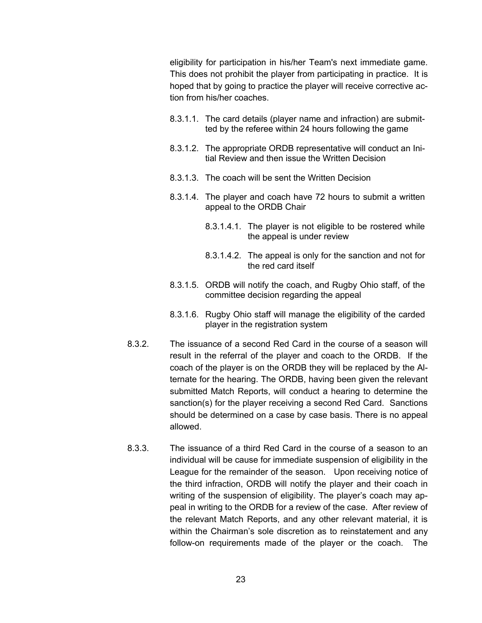eligibility for participation in his/her Team's next immediate game. This does not prohibit the player from participating in practice. It is hoped that by going to practice the player will receive corrective action from his/her coaches.

- 8.3.1.1. The card details (player name and infraction) are submitted by the referee within 24 hours following the game
- 8.3.1.2. The appropriate ORDB representative will conduct an Initial Review and then issue the Written Decision
- 8.3.1.3. The coach will be sent the Written Decision
- 8.3.1.4. The player and coach have 72 hours to submit a written appeal to the ORDB Chair
	- 8.3.1.4.1. The player is not eligible to be rostered while the appeal is under review
	- 8.3.1.4.2. The appeal is only for the sanction and not for the red card itself
- 8.3.1.5. ORDB will notify the coach, and Rugby Ohio staff, of the committee decision regarding the appeal
- 8.3.1.6. Rugby Ohio staff will manage the eligibility of the carded player in the registration system
- 8.3.2. The issuance of a second Red Card in the course of a season will result in the referral of the player and coach to the ORDB. If the coach of the player is on the ORDB they will be replaced by the Alternate for the hearing. The ORDB, having been given the relevant submitted Match Reports, will conduct a hearing to determine the sanction(s) for the player receiving a second Red Card. Sanctions should be determined on a case by case basis. There is no appeal allowed.
- 8.3.3. The issuance of a third Red Card in the course of a season to an individual will be cause for immediate suspension of eligibility in the League for the remainder of the season. Upon receiving notice of the third infraction, ORDB will notify the player and their coach in writing of the suspension of eligibility. The player's coach may appeal in writing to the ORDB for a review of the case. After review of the relevant Match Reports, and any other relevant material, it is within the Chairman's sole discretion as to reinstatement and any follow-on requirements made of the player or the coach. The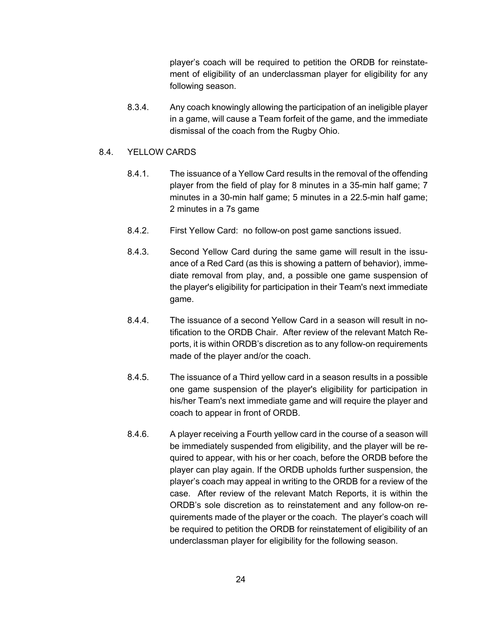player's coach will be required to petition the ORDB for reinstatement of eligibility of an underclassman player for eligibility for any following season.

8.3.4. Any coach knowingly allowing the participation of an ineligible player in a game, will cause a Team forfeit of the game, and the immediate dismissal of the coach from the Rugby Ohio.

#### 8.4. YELLOW CARDS

- 8.4.1. The issuance of a Yellow Card results in the removal of the offending player from the field of play for 8 minutes in a 35-min half game; 7 minutes in a 30-min half game; 5 minutes in a 22.5-min half game; 2 minutes in a 7s game
- 8.4.2. First Yellow Card: no follow-on post game sanctions issued.
- 8.4.3. Second Yellow Card during the same game will result in the issuance of a Red Card (as this is showing a pattern of behavior), immediate removal from play, and, a possible one game suspension of the player's eligibility for participation in their Team's next immediate game.
- 8.4.4. The issuance of a second Yellow Card in a season will result in notification to the ORDB Chair. After review of the relevant Match Reports, it is within ORDB's discretion as to any follow-on requirements made of the player and/or the coach.
- 8.4.5. The issuance of a Third yellow card in a season results in a possible one game suspension of the player's eligibility for participation in his/her Team's next immediate game and will require the player and coach to appear in front of ORDB.
- 8.4.6. A player receiving a Fourth yellow card in the course of a season will be immediately suspended from eligibility, and the player will be required to appear, with his or her coach, before the ORDB before the player can play again. If the ORDB upholds further suspension, the player's coach may appeal in writing to the ORDB for a review of the case. After review of the relevant Match Reports, it is within the ORDB's sole discretion as to reinstatement and any follow-on requirements made of the player or the coach. The player's coach will be required to petition the ORDB for reinstatement of eligibility of an underclassman player for eligibility for the following season.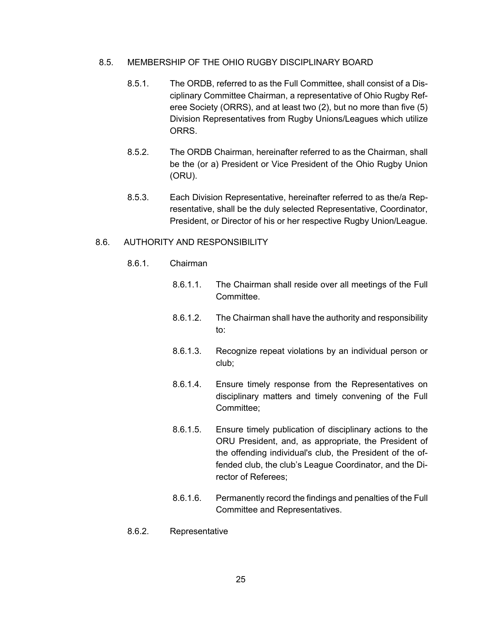- 8.5. MEMBERSHIP OF THE OHIO RUGBY DISCIPLINARY BOARD
	- 8.5.1. The ORDB, referred to as the Full Committee, shall consist of a Disciplinary Committee Chairman, a representative of Ohio Rugby Referee Society (ORRS), and at least two (2), but no more than five (5) Division Representatives from Rugby Unions/Leagues which utilize ORRS.
	- 8.5.2. The ORDB Chairman, hereinafter referred to as the Chairman, shall be the (or a) President or Vice President of the Ohio Rugby Union (ORU).
	- 8.5.3. Each Division Representative, hereinafter referred to as the/a Representative, shall be the duly selected Representative, Coordinator, President, or Director of his or her respective Rugby Union/League.

### 8.6. AUTHORITY AND RESPONSIBILITY

- 8.6.1. Chairman
	- 8.6.1.1. The Chairman shall reside over all meetings of the Full Committee.
	- 8.6.1.2. The Chairman shall have the authority and responsibility to:
	- 8.6.1.3. Recognize repeat violations by an individual person or club;
	- 8.6.1.4. Ensure timely response from the Representatives on disciplinary matters and timely convening of the Full Committee;
	- 8.6.1.5. Ensure timely publication of disciplinary actions to the ORU President, and, as appropriate, the President of the offending individual's club, the President of the offended club, the club's League Coordinator, and the Director of Referees;
	- 8.6.1.6. Permanently record the findings and penalties of the Full Committee and Representatives.
- 8.6.2. Representative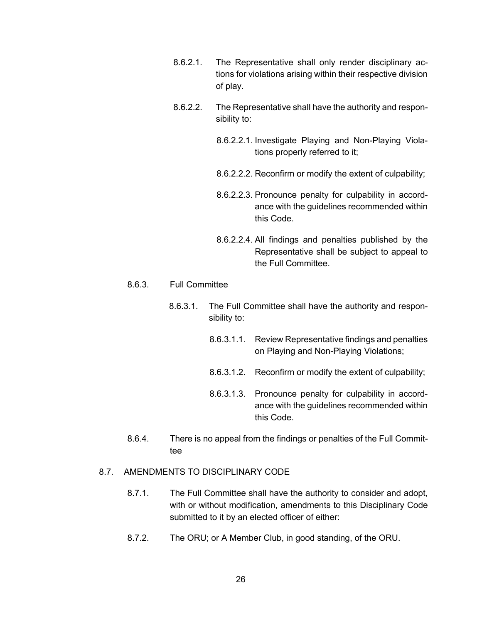- 8.6.2.1. The Representative shall only render disciplinary actions for violations arising within their respective division of play.
- 8.6.2.2. The Representative shall have the authority and responsibility to:
	- 8.6.2.2.1. Investigate Playing and Non-Playing Violations properly referred to it;
	- 8.6.2.2.2. Reconfirm or modify the extent of culpability;
	- 8.6.2.2.3. Pronounce penalty for culpability in accordance with the guidelines recommended within this Code.
	- 8.6.2.2.4. All findings and penalties published by the Representative shall be subject to appeal to the Full Committee.

#### 8.6.3. Full Committee

- 8.6.3.1. The Full Committee shall have the authority and responsibility to:
	- 8.6.3.1.1. Review Representative findings and penalties on Playing and Non-Playing Violations;
	- 8.6.3.1.2. Reconfirm or modify the extent of culpability;
	- 8.6.3.1.3. Pronounce penalty for culpability in accordance with the guidelines recommended within this Code.
- 8.6.4. There is no appeal from the findings or penalties of the Full Committee

#### 8.7. AMENDMENTS TO DISCIPLINARY CODE

- 8.7.1. The Full Committee shall have the authority to consider and adopt, with or without modification, amendments to this Disciplinary Code submitted to it by an elected officer of either:
- 8.7.2. The ORU; or A Member Club, in good standing, of the ORU.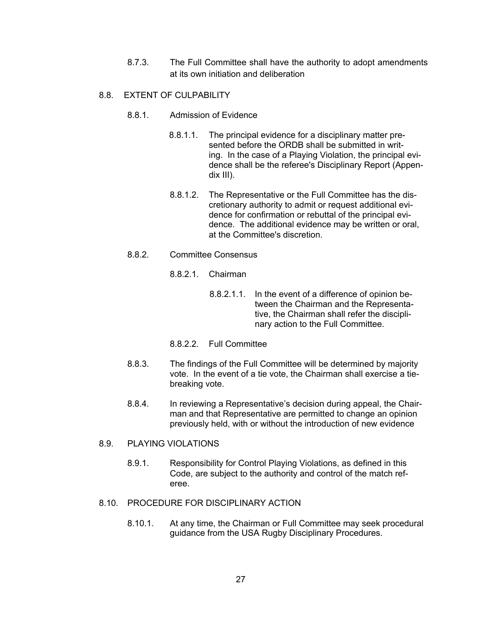8.7.3. The Full Committee shall have the authority to adopt amendments at its own initiation and deliberation

# 8.8. EXTENT OF CULPABILITY

- 8.8.1 Admission of Evidence
	- 8.8.1.1. The principal evidence for a disciplinary matter presented before the ORDB shall be submitted in writing. In the case of a Playing Violation, the principal evidence shall be the referee's Disciplinary Report (Appendix III).
	- 8.8.1.2. The Representative or the Full Committee has the discretionary authority to admit or request additional evidence for confirmation or rebuttal of the principal evidence. The additional evidence may be written or oral, at the Committee's discretion.
- 8.8.2. Committee Consensus
	- 8.8.2.1. Chairman
		- 8.8.2.1.1. In the event of a difference of opinion between the Chairman and the Representative, the Chairman shall refer the disciplinary action to the Full Committee.
	- 8.8.2.2. Full Committee
- 8.8.3. The findings of the Full Committee will be determined by majority vote. In the event of a tie vote, the Chairman shall exercise a tiebreaking vote.
- 8.8.4. In reviewing a Representative's decision during appeal, the Chairman and that Representative are permitted to change an opinion previously held, with or without the introduction of new evidence

#### 8.9. PLAYING VIOLATIONS

- 8.9.1. Responsibility for Control Playing Violations, as defined in this Code, are subject to the authority and control of the match referee.
- 8.10. PROCEDURE FOR DISCIPLINARY ACTION
	- 8.10.1. At any time, the Chairman or Full Committee may seek procedural guidance from the USA Rugby Disciplinary Procedures.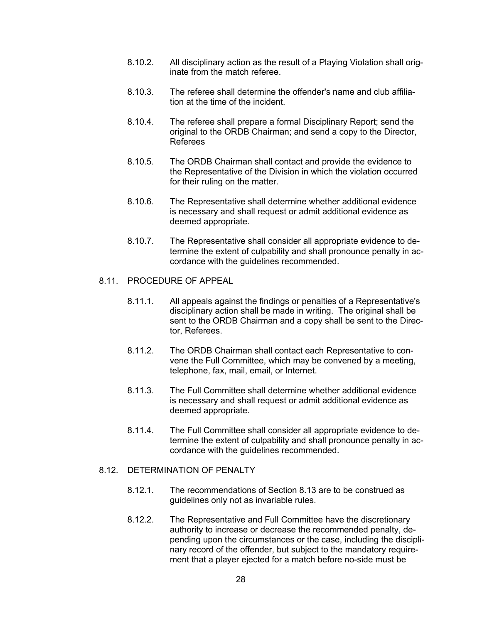- 8.10.2. All disciplinary action as the result of a Playing Violation shall originate from the match referee.
- 8.10.3. The referee shall determine the offender's name and club affiliation at the time of the incident.
- 8.10.4. The referee shall prepare a formal Disciplinary Report; send the original to the ORDB Chairman; and send a copy to the Director, Referees
- 8.10.5. The ORDB Chairman shall contact and provide the evidence to the Representative of the Division in which the violation occurred for their ruling on the matter.
- 8.10.6. The Representative shall determine whether additional evidence is necessary and shall request or admit additional evidence as deemed appropriate.
- 8.10.7. The Representative shall consider all appropriate evidence to determine the extent of culpability and shall pronounce penalty in accordance with the guidelines recommended.

#### 8.11. PROCEDURE OF APPEAL

- 8.11.1. All appeals against the findings or penalties of a Representative's disciplinary action shall be made in writing. The original shall be sent to the ORDB Chairman and a copy shall be sent to the Director, Referees.
- 8.11.2. The ORDB Chairman shall contact each Representative to convene the Full Committee, which may be convened by a meeting, telephone, fax, mail, email, or Internet.
- 8.11.3. The Full Committee shall determine whether additional evidence is necessary and shall request or admit additional evidence as deemed appropriate.
- 8.11.4. The Full Committee shall consider all appropriate evidence to determine the extent of culpability and shall pronounce penalty in accordance with the guidelines recommended.

#### 8.12. DETERMINATION OF PENALTY

- 8.12.1. The recommendations of Section 8.13 are to be construed as guidelines only not as invariable rules.
- 8.12.2. The Representative and Full Committee have the discretionary authority to increase or decrease the recommended penalty, depending upon the circumstances or the case, including the disciplinary record of the offender, but subject to the mandatory requirement that a player ejected for a match before no-side must be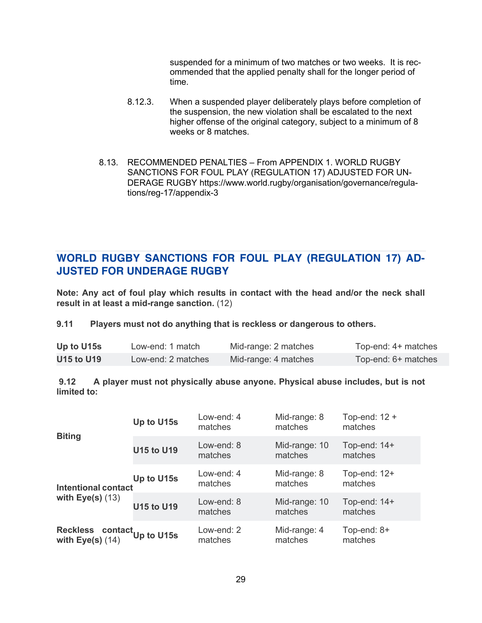suspended for a minimum of two matches or two weeks. It is recommended that the applied penalty shall for the longer period of time.

- 8.12.3. When a suspended player deliberately plays before completion of the suspension, the new violation shall be escalated to the next higher offense of the original category, subject to a minimum of 8 weeks or 8 matches.
- 8.13. RECOMMENDED PENALTIES From APPENDIX 1. WORLD RUGBY SANCTIONS FOR FOUL PLAY (REGULATION 17) ADJUSTED FOR UN-DERAGE RUGBY https://www.world.rugby/organisation/governance/regulations/reg-17/appendix-3

# **WORLD RUGBY SANCTIONS FOR FOUL PLAY (REGULATION 17) AD-JUSTED FOR UNDERAGE RUGBY**

**Note: Any act of foul play which results in contact with the head and/or the neck shall result in at least a mid-range sanction.** (12)

# **9.11 Players must not do anything that is reckless or dangerous to others.**

| Up to U15s        | Low-end: 1 match   | Mid-range: 2 matches | Top-end: 4+ matches |
|-------------------|--------------------|----------------------|---------------------|
| <b>U15 to U19</b> | Low-end: 2 matches | Mid-range: 4 matches | Top-end: 6+ matches |

# **9.12 A player must not physically abuse anyone. Physical abuse includes, but is not limited to:**

|                                                   | Up to U15s        | Low-end: 4<br>matches | Mid-range: 8<br>matches  | Top-end: $12 +$<br>matches |
|---------------------------------------------------|-------------------|-----------------------|--------------------------|----------------------------|
| <b>Biting</b>                                     | <b>U15 to U19</b> | Low-end: 8<br>matches | Mid-range: 10<br>matches | Top-end: 14+<br>matches    |
| <b>Intentional contact</b>                        | Up to U15s        | Low-end: 4<br>matches | Mid-range: 8<br>matches  | Top-end: 12+<br>matches    |
| with $Eye(s)$ (13)                                | <b>U15 to U19</b> | Low-end: 8<br>matches | Mid-range: 10<br>matches | Top-end: $14+$<br>matches  |
| Reckless contact Up to U15s<br>with $Eye(s)$ (14) |                   | Low-end: 2<br>matches | Mid-range: 4<br>matches  | Top-end: $8+$<br>matches   |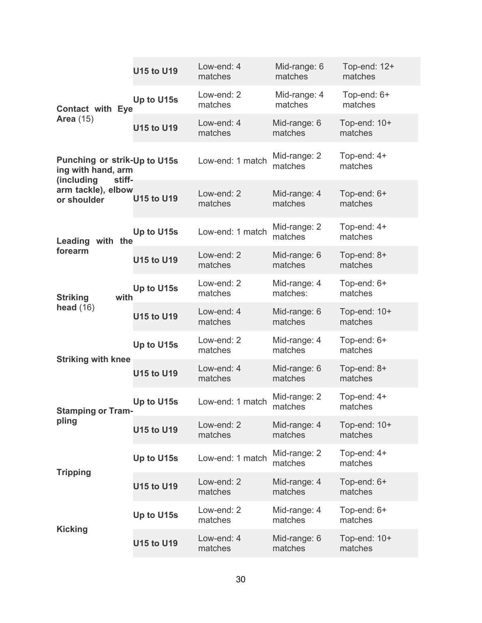|                                                                            | <b>U15 to U19</b> | Low-end: 4<br>matches | Mid-range: 6<br>matches  | Top-end: 12+<br>matches |
|----------------------------------------------------------------------------|-------------------|-----------------------|--------------------------|-------------------------|
| <b>Contact with Eye</b>                                                    | Up to U15s        | Low-end: 2<br>matches | Mid-range: 4<br>matches  | Top-end: 6+<br>matches  |
| <b>Area</b> (15)                                                           | <b>U15 to U19</b> | Low-end: 4<br>matches | Mid-range: 6<br>matches  | Top-end: 10+<br>matches |
| Punching or strik-Up to U15s<br>ing with hand, arm<br>(including<br>stiff- |                   | Low-end: 1 match      | Mid-range: 2<br>matches  | Top-end: 4+<br>matches  |
| arm tackle), elbow<br>or shoulder                                          | <b>U15 to U19</b> | Low-end: 2<br>matches | Mid-range: 4<br>matches  | Top-end: 6+<br>matches  |
| with the<br>Leading                                                        | Up to U15s        | Low-end: 1 match      | Mid-range: 2<br>matches  | Top-end: 4+<br>matches  |
| forearm                                                                    | <b>U15 to U19</b> | Low-end: 2<br>matches | Mid-range: 6<br>matches  | Top-end: 8+<br>matches  |
| with<br><b>Striking</b>                                                    | Up to U15s        | Low-end: 2<br>matches | Mid-range: 4<br>matches: | Top-end: 6+<br>matches  |
| head $(16)$                                                                | <b>U15 to U19</b> | Low-end: 4<br>matches | Mid-range: 6<br>matches  | Top-end: 10+<br>matches |
| <b>Striking with knee</b>                                                  | Up to U15s        | Low-end: 2<br>matches | Mid-range: 4<br>matches  | Top-end: 6+<br>matches  |
|                                                                            | <b>U15 to U19</b> | Low-end: 4<br>matches | Mid-range: 6<br>matches  | Top-end: 8+<br>matches  |
| <b>Stamping or Tram-</b>                                                   | Up to U15s        | Low-end: 1 match      | Mid-range: 2<br>matches  | Top-end: 4+<br>matches  |
| pling                                                                      | <b>U15 to U19</b> | Low-end: 2<br>matches | Mid-range: 4<br>matches  | Top-end: 10+<br>matches |
| <b>Tripping</b>                                                            | Up to U15s        | Low-end: 1 match      | Mid-range: 2<br>matches  | Top-end: 4+<br>matches  |
|                                                                            | <b>U15 to U19</b> | Low-end: 2<br>matches | Mid-range: 4<br>matches  | Top-end: 6+<br>matches  |
| <b>Kicking</b>                                                             | Up to U15s        | Low-end: 2<br>matches | Mid-range: 4<br>matches  | Top-end: 6+<br>matches  |
|                                                                            | <b>U15 to U19</b> | Low-end: 4<br>matches | Mid-range: 6<br>matches  | Top-end: 10+<br>matches |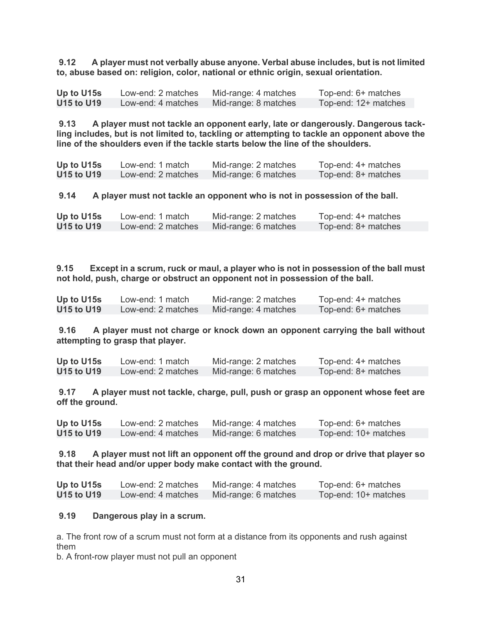**9.12 A player must not verbally abuse anyone. Verbal abuse includes, but is not limited to, abuse based on: religion, color, national or ethnic origin, sexual orientation.**

| Up to U15s        | Low-end: 2 matches | Mid-range: 4 matches | Top-end: 6+ matches  |
|-------------------|--------------------|----------------------|----------------------|
| <b>U15 to U19</b> | Low-end: 4 matches | Mid-range: 8 matches | Top-end: 12+ matches |

**9.13 A player must not tackle an opponent early, late or dangerously. Dangerous tackling includes, but is not limited to, tackling or attempting to tackle an opponent above the line of the shoulders even if the tackle starts below the line of the shoulders.**

| Up to U15s        | Low-end: 1 match   | Mid-range: 2 matches | Top-end: 4+ matches |
|-------------------|--------------------|----------------------|---------------------|
| <b>U15 to U19</b> | Low-end: 2 matches | Mid-range: 6 matches | Top-end: 8+ matches |

**9.14 A player must not tackle an opponent who is not in possession of the ball.**

| Up to U15s        | Low-end: 1 match   | Mid-range: 2 matches | Top-end: 4+ matches |
|-------------------|--------------------|----------------------|---------------------|
| <b>U15 to U19</b> | Low-end: 2 matches | Mid-range: 6 matches | Top-end: 8+ matches |

**9.15 Except in a scrum, ruck or maul, a player who is not in possession of the ball must not hold, push, charge or obstruct an opponent not in possession of the ball.**

| Up to U15s | Low-end: 1 match   | Mid-range: 2 matches | Top-end: 4+ matches |
|------------|--------------------|----------------------|---------------------|
| U15 to U19 | Low-end: 2 matches | Mid-range: 4 matches | Top-end: 6+ matches |

**9.16 A player must not charge or knock down an opponent carrying the ball without attempting to grasp that player.**

**Up to U15s** Low-end: 1 match Mid-range: 2 matches Top-end: 4+ matches **U15 to U19** Low-end: 2 matches Mid-range: 6 matches Top-end: 8+ matches

**9.17 A player must not tackle, charge, pull, push or grasp an opponent whose feet are off the ground.**

**Up to U15s** Low-end: 2 matches Mid-range: 4 matches Top-end: 6+ matches Mid-range: 6 matches Top-end: 10+ matches

**9.18 A player must not lift an opponent off the ground and drop or drive that player so that their head and/or upper body make contact with the ground.**

| Up to U15s        | Low-end: 2 matches | Mid-range: 4 matches | Top-end: 6+ matches  |
|-------------------|--------------------|----------------------|----------------------|
| <b>U15 to U19</b> | Low-end: 4 matches | Mid-range: 6 matches | Top-end: 10+ matches |

#### **9.19 Dangerous play in a scrum.**

a. The front row of a scrum must not form at a distance from its opponents and rush against them

b. A front-row player must not pull an opponent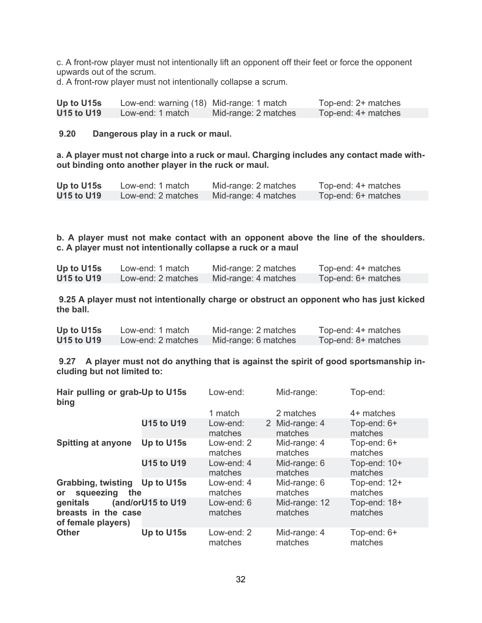c. A front-row player must not intentionally lift an opponent off their feet or force the opponent upwards out of the scrum.

d. A front-row player must not intentionally collapse a scrum.

| Up to U15s | Low-end: warning (18) Mid-range: 1 match |                      | Top-end: 2+ matches |
|------------|------------------------------------------|----------------------|---------------------|
| U15 to U19 | Low-end: 1 match                         | Mid-range: 2 matches | Top-end: 4+ matches |

**9.20 Dangerous play in a ruck or maul.**

**a. A player must not charge into a ruck or maul. Charging includes any contact made without binding onto another player in the ruck or maul.**

| Up to U15s        | Low-end: 1 match   | Mid-range: 2 matches | Top-end: 4+ matches |
|-------------------|--------------------|----------------------|---------------------|
| <b>U15 to U19</b> | Low-end: 2 matches | Mid-range: 4 matches | Top-end: 6+ matches |

**b. A player must not make contact with an opponent above the line of the shoulders. c. A player must not intentionally collapse a ruck or a maul**

| Up to U15s        | Low-end: 1 match   | Mid-range: 2 matches | Top-end: 4+ matches |
|-------------------|--------------------|----------------------|---------------------|
| <b>U15 to U19</b> | Low-end: 2 matches | Mid-range: 4 matches | Top-end: 6+ matches |

**9.25 A player must not intentionally charge or obstruct an opponent who has just kicked the ball.**

| Up to U15s        | Low-end: 1 match   | Mid-range: 2 matches | Top-end: 4+ matches |
|-------------------|--------------------|----------------------|---------------------|
| <b>U15 to U19</b> | Low-end: 2 matches | Mid-range: 6 matches | Top-end: 8+ matches |

**9.27 A player must not do anything that is against the spirit of good sportsmanship including but not limited to:**

| Hair pulling or grab-Up to U15s<br>bing                        |                   | Low-end:              | Mid-range:                | Top-end:                  |
|----------------------------------------------------------------|-------------------|-----------------------|---------------------------|---------------------------|
|                                                                |                   | 1 match               | 2 matches                 | 4+ matches                |
|                                                                | <b>U15 to U19</b> | Low-end:<br>matches   | 2 Mid-range: 4<br>matches | Top-end: 6+<br>matches    |
| <b>Spitting at anyone</b>                                      | Up to U15s        | Low-end: 2<br>matches | Mid-range: 4<br>matches   | Top-end: 6+<br>matches    |
| <b>U15 to U19</b>                                              |                   | Low-end: 4<br>matches | Mid-range: 6<br>matches   | Top-end: 10+<br>matches   |
| Grabbing, twisting Up to U15s<br>squeezing<br>the<br><b>or</b> |                   | Low-end: 4<br>matches | Mid-range: 6<br>matches   | Top-end: $12+$<br>matches |
| genitals<br>breasts in the case<br>of female players)          | (and/orU15 to U19 | Low-end: 6<br>matches | Mid-range: 12<br>matches  | Top-end: 18+<br>matches   |
| <b>Other</b>                                                   | Up to U15s        | Low-end: 2<br>matches | Mid-range: 4<br>matches   | Top-end: 6+<br>matches    |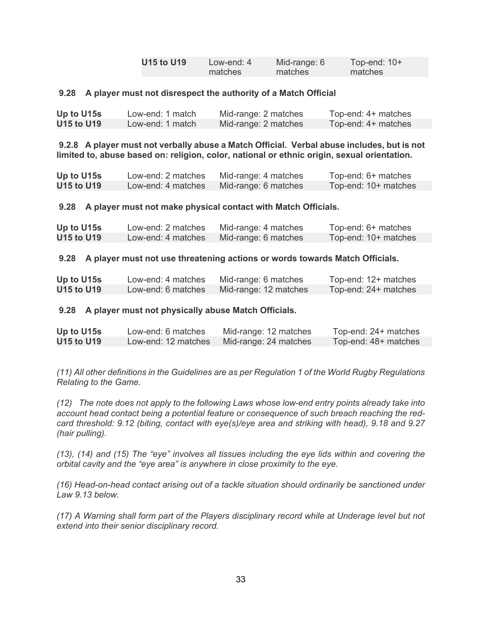| <b>U15 to U19</b> | Low-end: $4$ | Mid-range: 6 | Top-end: 10+ |
|-------------------|--------------|--------------|--------------|
|                   | matches      | matches      | matches      |

#### **9.28 A player must not disrespect the authority of a Match Official**

| Up to U15s | Low-end: 1 match | Mid-range: 2 matches | Top-end: 4+ matches |
|------------|------------------|----------------------|---------------------|
| U15 to U19 | Low-end: 1 match | Mid-range: 2 matches | Top-end: 4+ matches |

**9.2.8 A player must not verbally abuse a Match Official. Verbal abuse includes, but is not limited to, abuse based on: religion, color, national or ethnic origin, sexual orientation.**

| Up to U15s        | Low-end: 2 matches | Mid-range: 4 matches | Top-end: 6+ matches  |
|-------------------|--------------------|----------------------|----------------------|
| <b>U15 to U19</b> | Low-end: 4 matches | Mid-range: 6 matches | Top-end: 10+ matches |

**9.28 A player must not make physical contact with Match Officials.**

| Up to U15s        | Low-end: 2 matches | Mid-range: 4 matches | Top-end: 6+ matches  |
|-------------------|--------------------|----------------------|----------------------|
| <b>U15 to U19</b> | Low-end: 4 matches | Mid-range: 6 matches | Top-end: 10+ matches |

#### **9.28 A player must not use threatening actions or words towards Match Officials.**

| Up to U15s        | Low-end: 4 matches | Mid-range: 6 matches  | Top-end: 12+ matches |
|-------------------|--------------------|-----------------------|----------------------|
| <b>U15 to U19</b> | Low-end: 6 matches | Mid-range: 12 matches | Top-end: 24+ matches |

#### **9.28 A player must not physically abuse Match Officials.**

| Up to U15s        | Low-end: 6 matches  | Mid-range: 12 matches | Top-end: 24+ matches |
|-------------------|---------------------|-----------------------|----------------------|
| <b>U15 to U19</b> | Low-end: 12 matches | Mid-range: 24 matches | Top-end: 48+ matches |

*(11) All other definitions in the Guidelines are as per Regulation 1 of the World Rugby Regulations Relating to the Game.*

*(12) The note does not apply to the following Laws whose low-end entry points already take into account head contact being a potential feature or consequence of such breach reaching the redcard threshold: 9.12 (biting, contact with eye(s)/eye area and striking with head), 9.18 and 9.27 (hair pulling).* 

*(13), (14) and (15) The "eye" involves all tissues including the eye lids within and covering the orbital cavity and the "eye area" is anywhere in close proximity to the eye.*

*(16) Head-on-head contact arising out of a tackle situation should ordinarily be sanctioned under Law 9.13 below.*

*(17) A Warning shall form part of the Players disciplinary record while at Underage level but not extend into their senior disciplinary record.*